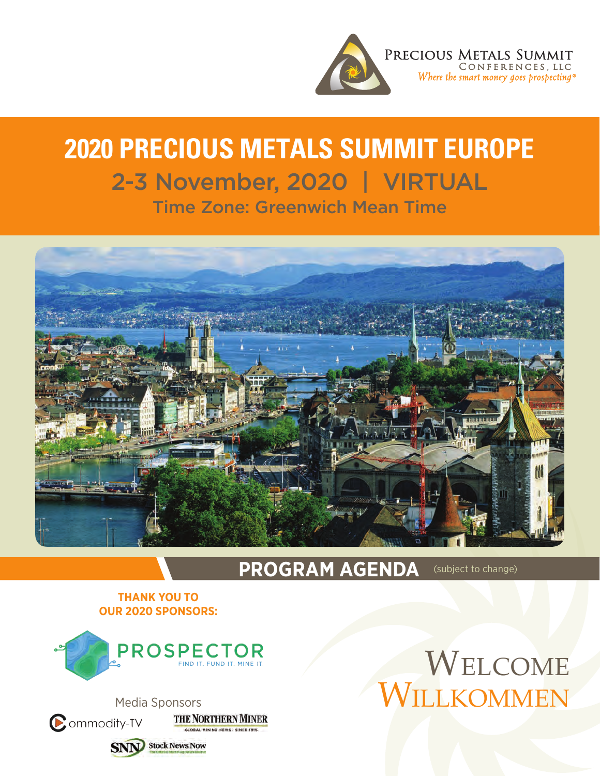

## **2020 Precious Metals Summit EUROPE** 2-3 November, 2020 | VIRTUAL Time Zone: Greenwich Mean Time



## **PROGRAM AGENDA** (subject to change)

## **Thank You to Our 2020 Sponsors:**





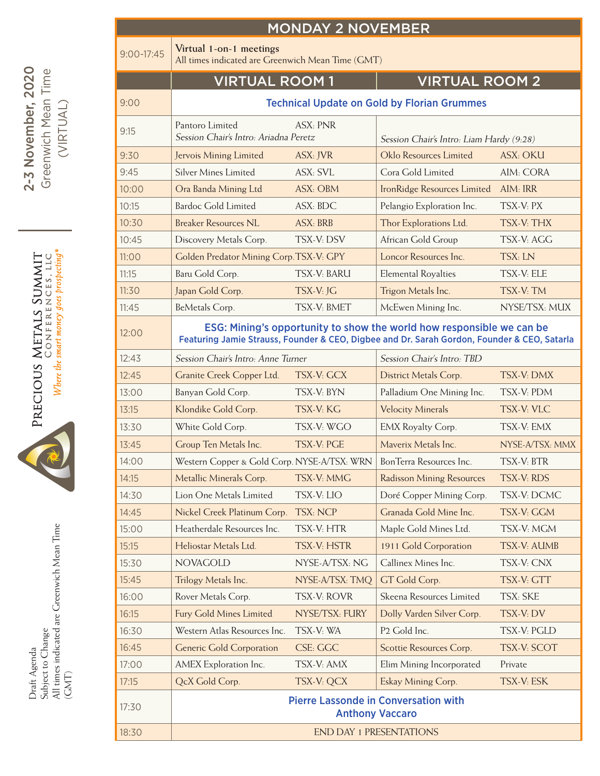| <b>MONDAY 2 NOVEMBER</b> |                                                                                                                                                                      |                         |                                          |                    |  |  |  |  |  |  |  |
|--------------------------|----------------------------------------------------------------------------------------------------------------------------------------------------------------------|-------------------------|------------------------------------------|--------------------|--|--|--|--|--|--|--|
| $9:00 - 17:45$           | Virtual 1-on-1 meetings<br>All times indicated are Greenwich Mean Time (GMT)                                                                                         |                         |                                          |                    |  |  |  |  |  |  |  |
|                          | <b>VIRTUAL ROOM1</b>                                                                                                                                                 |                         | <b>VIRTUAL ROOM 2</b>                    |                    |  |  |  |  |  |  |  |
| 9:00                     | <b>Technical Update on Gold by Florian Grummes</b>                                                                                                                   |                         |                                          |                    |  |  |  |  |  |  |  |
| 9:15                     | Pantoro Limited<br>Session Chair's Intro: Ariadna Peretz                                                                                                             | <b>ASX: PNR</b>         | Session Chair's Intro: Liam Hardy (9:28) |                    |  |  |  |  |  |  |  |
| 9:30                     | Jervois Mining Limited                                                                                                                                               | ASX: JVR                | Oklo Resources Limited                   | <b>ASX: OKU</b>    |  |  |  |  |  |  |  |
| 9:45                     | <b>Silver Mines Limited</b>                                                                                                                                          | ASX: SVL                | Cora Gold Limited                        | AIM: CORA          |  |  |  |  |  |  |  |
| 10:00                    | Ora Banda Mining Ltd                                                                                                                                                 | ASX: OBM                | IronRidge Resources Limited              | AlM: IRR           |  |  |  |  |  |  |  |
| 10:15                    | <b>Bardoc Gold Limited</b>                                                                                                                                           | ASX: BDC                | Pelangio Exploration Inc.                | TSX-V: PX          |  |  |  |  |  |  |  |
| 10:30                    | <b>Breaker Resources NL</b>                                                                                                                                          | <b>ASX: BRB</b>         | Thor Explorations Ltd.                   | TSX-V: THX         |  |  |  |  |  |  |  |
| 10:45                    | Discovery Metals Corp.                                                                                                                                               | TSX-V: DSV              | African Gold Group                       | TSX-V: AGG         |  |  |  |  |  |  |  |
| 11:00                    | Golden Predator Mining Corp.TSX-V: GPY                                                                                                                               |                         | Loncor Resources Inc.                    | TSX: LN            |  |  |  |  |  |  |  |
| 11:15                    | Baru Gold Corp.                                                                                                                                                      | TSX-V <sub>·</sub> BARU | <b>Elemental Royalties</b>               | TSX-V: ELE         |  |  |  |  |  |  |  |
| 11:30                    | Japan Gold Corp.                                                                                                                                                     | TSX-V: JG               | Trigon Metals Inc.                       | TSX-V: TM          |  |  |  |  |  |  |  |
| 11:45                    | BeMetals Corp.                                                                                                                                                       | TSX-V: BMET             | McEwen Mining Inc.                       | NYSE/TSX: MUX      |  |  |  |  |  |  |  |
| 12:00                    | ESG: Mining's opportunity to show the world how responsible we can be<br>Featuring Jamie Strauss, Founder & CEO, Digbee and Dr. Sarah Gordon, Founder & CEO, Satarla |                         |                                          |                    |  |  |  |  |  |  |  |
| 12:43                    | Session Chair's Intro: Anne Turner                                                                                                                                   |                         | Session Chair's Intro: TBD               |                    |  |  |  |  |  |  |  |
| 12:45                    | Granite Creek Copper Ltd.                                                                                                                                            | TSX-V: GCX              | District Metals Corp.                    | TSX-V: DMX         |  |  |  |  |  |  |  |
| 13:00                    | Banyan Gold Corp.                                                                                                                                                    | TSX-V: BYN              | Palladium One Mining Inc.                | TSX-V: PDM         |  |  |  |  |  |  |  |
| 13:15                    | Klondike Gold Corp.                                                                                                                                                  | TSX-V: KG               | <b>Velocity Minerals</b>                 | <b>TSX-V: VLC</b>  |  |  |  |  |  |  |  |
| 13:30                    | White Gold Corp.                                                                                                                                                     | TSX-V: WGO              | EMX Royalty Corp.                        | TSX-V: EMX         |  |  |  |  |  |  |  |
| 13:45                    | Group Ten Metals Inc.                                                                                                                                                | TSX-V: PGE              | Mayerix Metals Inc.                      | NYSE-A/TSX: MMX    |  |  |  |  |  |  |  |
| 14:00                    | Western Copper & Gold Corp. NYSE-A/TSX: WRN                                                                                                                          |                         | BonTerra Resources Inc.                  | TSX-V: BTR         |  |  |  |  |  |  |  |
| 14:15                    | Metallic Minerals Corp.                                                                                                                                              | TSX-V: MMG              | <b>Radisson Mining Resources</b>         | TSX-V: RDS         |  |  |  |  |  |  |  |
| 14:30                    | Lion One Metals Limited                                                                                                                                              | TSX-V: LIO              | Doré Copper Mining Corp.                 | TSX-V: DCMC        |  |  |  |  |  |  |  |
| 14:45                    | Nickel Creek Platinum Corp.                                                                                                                                          | <b>TSX: NCP</b>         | Granada Gold Mine Inc.                   | TSX-V: GGM         |  |  |  |  |  |  |  |
| 15:00                    | Heatherdale Resources Inc.                                                                                                                                           | TSX-V: HTR              | Maple Gold Mines Ltd.                    | TSX-V: MGM         |  |  |  |  |  |  |  |
| 15:15                    | Heliostar Metals Ltd.                                                                                                                                                | <b>TSX-V: HSTR</b>      | 1911 Gold Corporation                    | <b>TSX-V: AUMB</b> |  |  |  |  |  |  |  |
| 15:30                    | <b>NOVAGOLD</b>                                                                                                                                                      | NYSE-A/TSX: NG          | Callinex Mines Inc.                      | TSX-V: CNX         |  |  |  |  |  |  |  |
| 15:45                    | Trilogy Metals Inc.                                                                                                                                                  | NYSE-A/TSX: TMQ         | GT Gold Corp.                            | TSX-V: GTT         |  |  |  |  |  |  |  |
| 16:00                    | Rover Metals Corp.                                                                                                                                                   | TSX-V: ROVR             | Skeena Resources Limited                 | TSX: SKE           |  |  |  |  |  |  |  |
| 16:15                    | <b>Fury Gold Mines Limited</b>                                                                                                                                       | NYSE/TSX: FURY          | Dolly Varden Silver Corp.                | TSX-V: DV          |  |  |  |  |  |  |  |
| 16:30                    | Western Atlas Resources Inc.                                                                                                                                         | TSX-V: WA               | P <sub>2</sub> Gold Inc.                 | TSX-V: PGLD        |  |  |  |  |  |  |  |
| 16:45                    | <b>Generic Gold Corporation</b>                                                                                                                                      | CSE: GGC                | Scottie Resources Corp.                  | <b>TSX-V: SCOT</b> |  |  |  |  |  |  |  |
| 17:00                    | AMEX Exploration Inc.                                                                                                                                                | TSX-V: AMX              | Elim Mining Incorporated                 | Private            |  |  |  |  |  |  |  |
| 17:15                    | QcX Gold Corp.                                                                                                                                                       | TSX-V: QCX              | Eskay Mining Corp.                       | TSX-V: ESK         |  |  |  |  |  |  |  |
| 17:30                    | <b>Pierre Lassonde in Conversation with</b><br><b>Anthony Vaccaro</b>                                                                                                |                         |                                          |                    |  |  |  |  |  |  |  |
| 18:30                    | <b>END DAY 1 PRESENTATIONS</b>                                                                                                                                       |                         |                                          |                    |  |  |  |  |  |  |  |
|                          |                                                                                                                                                                      |                         |                                          |                    |  |  |  |  |  |  |  |

2-3 November, 2020 Greenwich Mean Time 2-3 November, 2020 Greenwich Mean Time (VIRTUAL) (VIRTUAL)



Subject to Change<br>All times indicated are Greenwich Mean Time<br>(GMT) All times indicated are Greenwich Mean Time Subject to Change Draft Agenda Draft Agenda